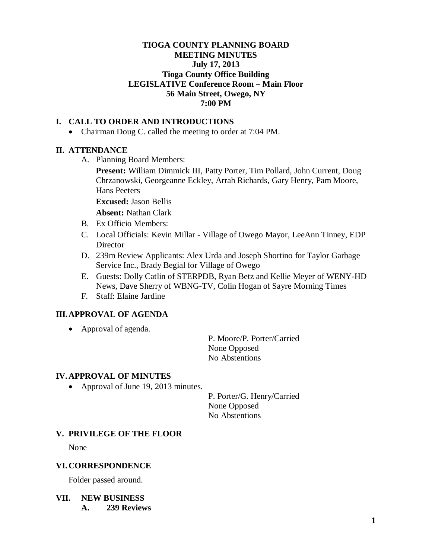## **TIOGA COUNTY PLANNING BOARD MEETING MINUTES July 17, 2013 Tioga County Office Building LEGISLATIVE Conference Room – Main Floor 56 Main Street, Owego, NY 7:00 PM**

## **I. CALL TO ORDER AND INTRODUCTIONS**

• Chairman Doug C. called the meeting to order at 7:04 PM.

### **II. ATTENDANCE**

A. Planning Board Members:

**Present:** William Dimmick III, Patty Porter, Tim Pollard, John Current, Doug Chrzanowski, Georgeanne Eckley, Arrah Richards, Gary Henry, Pam Moore, Hans Peeters

**Excused:** Jason Bellis

**Absent:** Nathan Clark

- B. Ex Officio Members:
- C. Local Officials: Kevin Millar Village of Owego Mayor, LeeAnn Tinney, EDP Director
- D. 239m Review Applicants: Alex Urda and Joseph Shortino for Taylor Garbage Service Inc., Brady Begial for Village of Owego
- E. Guests: Dolly Catlin of STERPDB, Ryan Betz and Kellie Meyer of WENY-HD News, Dave Sherry of WBNG-TV, Colin Hogan of Sayre Morning Times
- F. Staff: Elaine Jardine

### **III.APPROVAL OF AGENDA**

• Approval of agenda.

P. Moore/P. Porter/Carried None Opposed No Abstentions

#### **IV. APPROVAL OF MINUTES**

• Approval of June 19, 2013 minutes.

P. Porter/G. Henry/Carried None Opposed No Abstentions

### **V. PRIVILEGE OF THE FLOOR**

None

#### **VI. CORRESPONDENCE**

Folder passed around.

**VII. NEW BUSINESS A. 239 Reviews**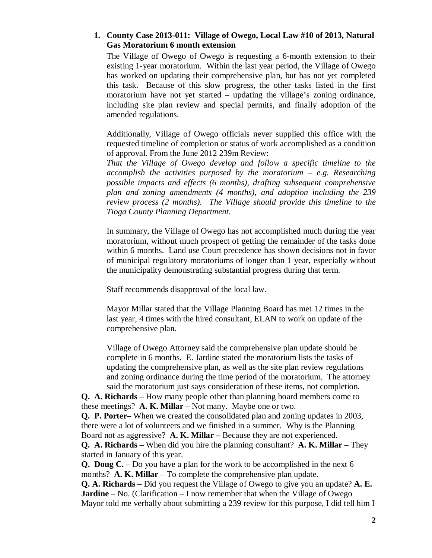## **1. County Case 2013-011: Village of Owego, Local Law #10 of 2013, Natural Gas Moratorium 6 month extension**

The Village of Owego of Owego is requesting a 6-month extension to their existing 1-year moratorium. Within the last year period, the Village of Owego has worked on updating their comprehensive plan, but has not yet completed this task. Because of this slow progress, the other tasks listed in the first moratorium have not yet started – updating the village's zoning ordinance, including site plan review and special permits, and finally adoption of the amended regulations.

Additionally, Village of Owego officials never supplied this office with the requested timeline of completion or status of work accomplished as a condition of approval. From the June 2012 239m Review:

*That the Village of Owego develop and follow a specific timeline to the accomplish the activities purposed by the moratorium – e.g. Researching possible impacts and effects (6 months), drafting subsequent comprehensive plan and zoning amendments (4 months), and adoption including the 239 review process (2 months). The Village should provide this timeline to the Tioga County Planning Department.*

In summary, the Village of Owego has not accomplished much during the year moratorium, without much prospect of getting the remainder of the tasks done within 6 months. Land use Court precedence has shown decisions not in favor of municipal regulatory moratoriums of longer than 1 year, especially without the municipality demonstrating substantial progress during that term.

Staff recommends disapproval of the local law.

Mayor Millar stated that the Village Planning Board has met 12 times in the last year, 4 times with the hired consultant, ELAN to work on update of the comprehensive plan.

Village of Owego Attorney said the comprehensive plan update should be complete in 6 months. E. Jardine stated the moratorium lists the tasks of updating the comprehensive plan, as well as the site plan review regulations and zoning ordinance during the time period of the moratorium. The attorney said the moratorium just says consideration of these items, not completion.

**Q. A. Richards** – How many people other than planning board members come to these meetings? **A. K. Millar** – Not many. Maybe one or two.

**Q. P. Porter–** When we created the consolidated plan and zoning updates in 2003, there were a lot of volunteers and we finished in a summer. Why is the Planning Board not as aggressive? **A. K. Millar –** Because they are not experienced.

**Q. A. Richards** – When did you hire the planning consultant? **A. K. Millar** – They started in January of this year.

**Q. Doug C.** – Do you have a plan for the work to be accomplished in the next 6 months? **A. K. Millar** – To complete the comprehensive plan update.

**Q. A. Richards** – Did you request the Village of Owego to give you an update? **A. E. Jardine** – No. (Clarification – I now remember that when the Village of Owego Mayor told me verbally about submitting a 239 review for this purpose, I did tell him I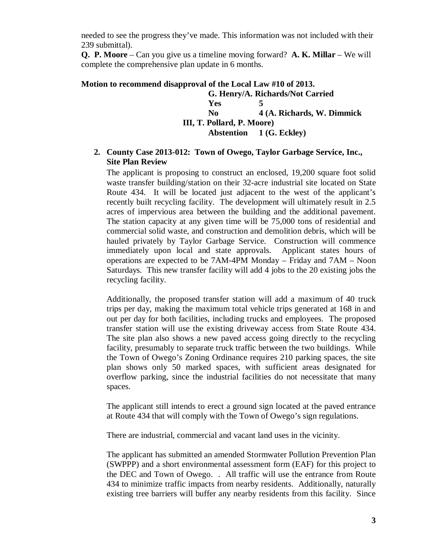needed to see the progress they've made. This information was not included with their 239 submittal).

**Q. P. Moore** – Can you give us a timeline moving forward? **A. K. Millar** – We will complete the comprehensive plan update in 6 months.

### **Motion to recommend disapproval of the Local Law #10 of 2013.**

**G. Henry/A. Richards/Not Carried Yes 5 No 4 (A. Richards, W. Dimmick III, T. Pollard, P. Moore) Abstention 1 (G. Eckley)**

## **2. County Case 2013-012: Town of Owego, Taylor Garbage Service, Inc., Site Plan Review**

The applicant is proposing to construct an enclosed, 19,200 square foot solid waste transfer building/station on their 32-acre industrial site located on State Route 434. It will be located just adjacent to the west of the applicant's recently built recycling facility. The development will ultimately result in 2.5 acres of impervious area between the building and the additional pavement. The station capacity at any given time will be 75,000 tons of residential and commercial solid waste, and construction and demolition debris, which will be hauled privately by Taylor Garbage Service. Construction will commence immediately upon local and state approvals. Applicant states hours of operations are expected to be 7AM-4PM Monday – Friday and 7AM – Noon Saturdays. This new transfer facility will add 4 jobs to the 20 existing jobs the recycling facility.

Additionally, the proposed transfer station will add a maximum of 40 truck trips per day, making the maximum total vehicle trips generated at 168 in and out per day for both facilities, including trucks and employees. The proposed transfer station will use the existing driveway access from State Route 434. The site plan also shows a new paved access going directly to the recycling facility, presumably to separate truck traffic between the two buildings. While the Town of Owego's Zoning Ordinance requires 210 parking spaces, the site plan shows only 50 marked spaces, with sufficient areas designated for overflow parking, since the industrial facilities do not necessitate that many spaces.

The applicant still intends to erect a ground sign located at the paved entrance at Route 434 that will comply with the Town of Owego's sign regulations.

There are industrial, commercial and vacant land uses in the vicinity.

The applicant has submitted an amended Stormwater Pollution Prevention Plan (SWPPP) and a short environmental assessment form (EAF) for this project to the DEC and Town of Owego. . All traffic will use the entrance from Route 434 to minimize traffic impacts from nearby residents. Additionally, naturally existing tree barriers will buffer any nearby residents from this facility. Since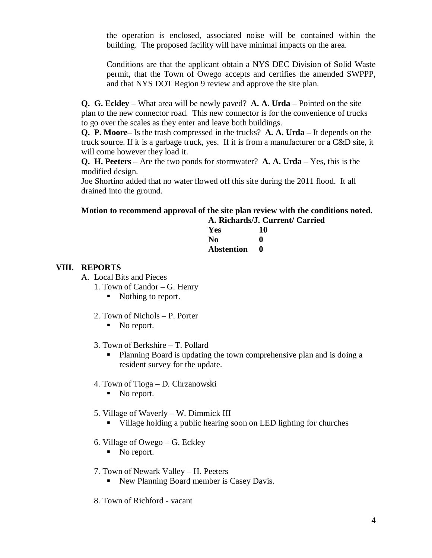the operation is enclosed, associated noise will be contained within the building. The proposed facility will have minimal impacts on the area.

Conditions are that the applicant obtain a NYS DEC Division of Solid Waste permit, that the Town of Owego accepts and certifies the amended SWPPP, and that NYS DOT Region 9 review and approve the site plan.

**Q. G. Eckley** – What area will be newly paved? **A. A. Urda** – Pointed on the site plan to the new connector road. This new connector is for the convenience of trucks to go over the scales as they enter and leave both buildings.

**Q. P. Moore–** Is the trash compressed in the trucks? **A. A. Urda –** It depends on the truck source. If it is a garbage truck, yes. If it is from a manufacturer or a C&D site, it will come however they load it.

**Q. H. Peeters** – Are the two ponds for stormwater? **A. A. Urda** – Yes, this is the modified design.

Joe Shortino added that no water flowed off this site during the 2011 flood. It all drained into the ground.

# **Motion to recommend approval of the site plan review with the conditions noted. A. Richards/J. Current/ Carried**

| Yes        | 10 |
|------------|----|
| No         | o  |
| Abstention | o  |

## **VIII. REPORTS**

- A. Local Bits and Pieces
	- 1. Town of Candor G. Henry
		- Nothing to report.
	- 2. Town of Nichols P. Porter
		- No report.
	- 3. Town of Berkshire T. Pollard
		- Planning Board is updating the town comprehensive plan and is doing a resident survey for the update.
	- 4. Town of Tioga D. Chrzanowski
		- No report.
	- 5. Village of Waverly W. Dimmick III
		- Village holding a public hearing soon on LED lighting for churches
	- 6. Village of Owego G. Eckley
		- No report.
	- 7. Town of Newark Valley H. Peeters
		- New Planning Board member is Casey Davis.
	- 8. Town of Richford vacant